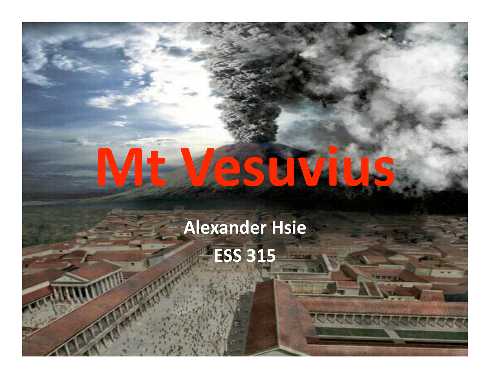# **Mt
Vesuvius**

**Alexander
Hsie ESS
315**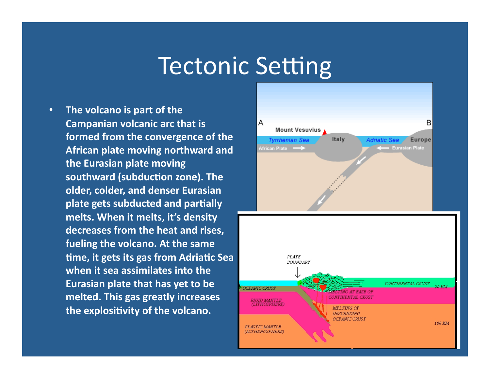#### Tectonic Setting

• **The
volcano
is
part
of
the Campanian
volcanic
arc
that
is formed
from
the
convergence
of
the African
plate
moving
northward
and the
Eurasian
plate
moving**  southward (subduction zone). The **older,
colder,
and
denser
Eurasian**  plate gets subducted and partially **melts.
When
it
melts,
it's
density decreases
from
the
heat
and
rises, fueling
the
volcano.
At
the
same**  time, it gets its gas from Adriatic Sea when it sea assimilates into the **Eurasian
plate
that
has
yet
to
be melted.
This
gas
greatly
increases**  the explositivity of the volcano.

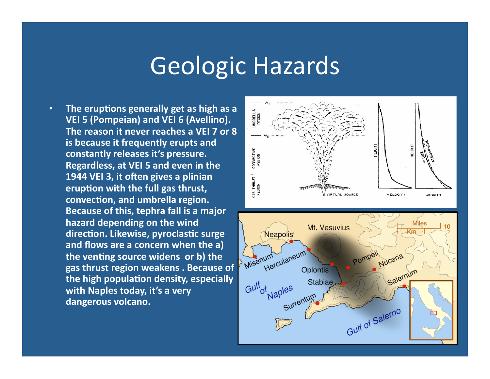### Geologic
Hazards

• The eruptions generally get as high as a **VEI
5
(Pompeian)
and
VEI
6
(Avellino).**  The reason it never reaches a VEI 7 or 8 **is
because
it
frequently
erupts
and constantly
releases
it's
pressure. Regardless,
at
VEI
5
and
even
in
the**  1944 VEI 3, it often gives a plinian eruption with the full gas thrust, convection, and umbrella region. **Because
of
this,
tephra
fall
is
a
major**  hazard depending on the wind direction. Likewise, pyroclastic surge **and
flows
are
a
concern
when
the
a)**  the venting source widens or b) the **gas
thrust
region
weakens
.
Because
of**  the high population density, especially with Naples today, it's a very **dangerous
volcano.** 

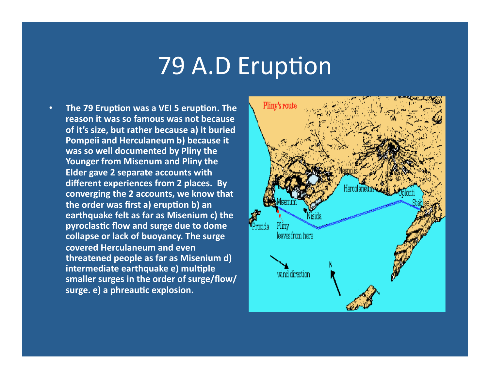#### 79 A.D Eruption

• The 79 Eruption was a VEI 5 eruption. The **reason
it
was
so
famous
was
not
because**  of it's size, but rather because a) it buried **Pompeii
and
Herculaneum
b)
because
it**  was so well documented by Pliny the Younger from Misenum and Pliny the **Elder
gave
2
separate
accounts
with different
experiences
from
2
places.

By converging
the
2
accounts,
we
know
that**  the order was first a) eruption b) an **earthquake
felt
as
far
as
Misenium
c)
the**  pyroclastic flow and surge due to dome collapse or lack of buoyancy. The surge **covered
Herculaneum
and
even threatened
people
as
far
as
Misenium
d)**  intermediate earthquake e) multiple **smaller
surges
in
the
order
of
surge/flow/** surge. e) a phreautic explosion.

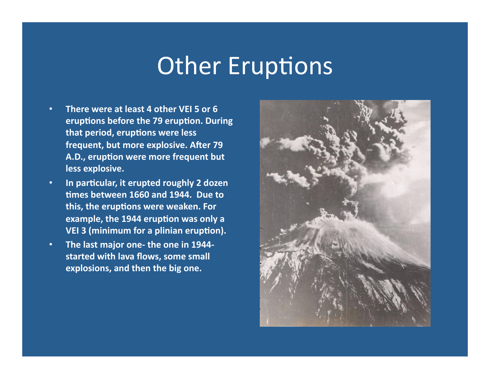## Other Eruptions

- **There were at least 4 other VEI 5 or 6** eruptions before the 79 eruption. During that period, eruptions were less frequent, but more explosive. After 79 A.D., eruption were more frequent but **less
explosive.**
- **•** In particular, it erupted roughly 2 dozen times between 1660 and 1944. Due to this, the eruptions were weaken. For example, the 1944 eruption was only a VEI 3 (minimum for a plinian eruption).
- **The last major one- the one in 1944**started with lava flows, some small explosions, and then the big one.

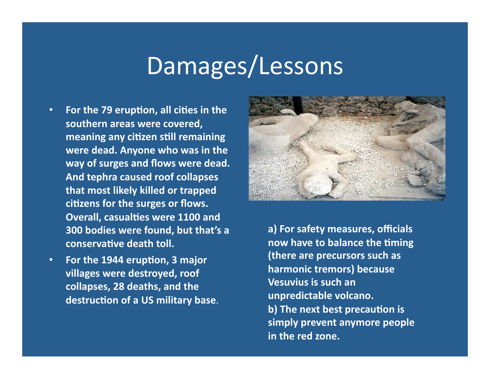## Damages/Lessons

- For the 79 eruption, all cities in the southern areas were covered, **meaning any citizen still remaining** were dead. Anyone who was in the way of surges and flows were dead. **And
tephra
caused
roof
collapses that
most
likely
killed
or
trapped**  citizens for the surges or flows. **Overall, casualties were 1100 and 300
bodies
were
found,
but
that's
a**  conservative death toll.
- For the 1944 eruption, 3 major **villages
were
destroyed,
roof collapses,
28
deaths,
and
the**  destruction of a US military base.



**a)
For
safety
measures,
officials**  now have to balance the timing **(there
are
precursors
such
as harmonic
tremors)
because Vesuvius
is
such
an unpredictable
volcano.**  b) The next best precaution is **simply
prevent
anymore
people**  in the red zone.